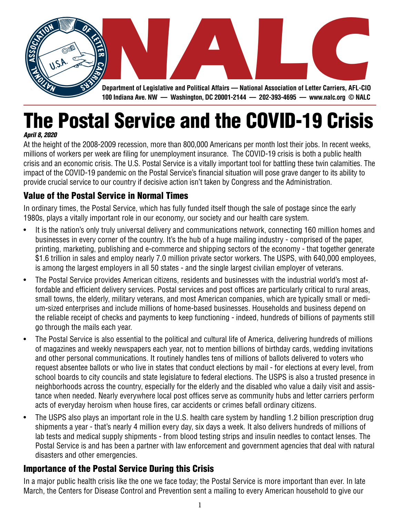

The Postal Service and the COVID-19 Crisis

*April 8, 2020*

At the height of the 2008-2009 recession, more than 800,000 Americans per month lost their jobs. In recent weeks, millions of workers per week are filing for unemployment insurance. The COVID-19 crisis is both a public health crisis and an economic crisis. The U.S. Postal Service is a vitally important tool for battling these twin calamities. The impact of the COVID-19 pandemic on the Postal Service's financial situation will pose grave danger to its ability to provide crucial service to our country if decisive action isn't taken by Congress and the Administration.

## Value of the Postal Service in Normal Times

In ordinary times, the Postal Service, which has fully funded itself though the sale of postage since the early 1980s, plays a vitally important role in our economy, our society and our health care system.

- It is the nation's only truly universal delivery and communications network, connecting 160 million homes and businesses in every corner of the country. It's the hub of a huge mailing industry - comprised of the paper, printing, marketing, publishing and e-commerce and shipping sectors of the economy - that together generate \$1.6 trillion in sales and employ nearly 7.0 million private sector workers. The USPS, with 640,000 employees, is among the largest employers in all 50 states - and the single largest civilian employer of veterans.
- The Postal Service provides American citizens, residents and businesses with the industrial world's most affordable and efficient delivery services. Postal services and post offices are particularly critical to rural areas, small towns, the elderly, military veterans, and most American companies, which are typically small or medium-sized enterprises and include millions of home-based businesses. Households and business depend on the reliable receipt of checks and payments to keep functioning - indeed, hundreds of billions of payments still go through the mails each year.
- The Postal Service is also essential to the political and cultural life of America, delivering hundreds of millions of magazines and weekly newspapers each year, not to mention billions of birthday cards, wedding invitations and other personal communications. It routinely handles tens of millions of ballots delivered to voters who request absentee ballots or who live in states that conduct elections by mail - for elections at every level, from school boards to city councils and state legislature to federal elections. The USPS is also a trusted presence in neighborhoods across the country, especially for the elderly and the disabled who value a daily visit and assistance when needed. Nearly everywhere local post offices serve as community hubs and letter carriers perform acts of everyday heroism when house fires, car accidents or crimes befall ordinary citizens.
- The USPS also plays an important role in the U.S. health care system by handling 1.2 billion prescription drug shipments a year - that's nearly 4 million every day, six days a week. It also delivers hundreds of millions of lab tests and medical supply shipments - from blood testing strips and insulin needles to contact lenses. The Postal Service is and has been a partner with law enforcement and government agencies that deal with natural disasters and other emergencies.

## Importance of the Postal Service During this Crisis

In a major public health crisis like the one we face today; the Postal Service is more important than ever. In late March, the Centers for Disease Control and Prevention sent a mailing to every American household to give our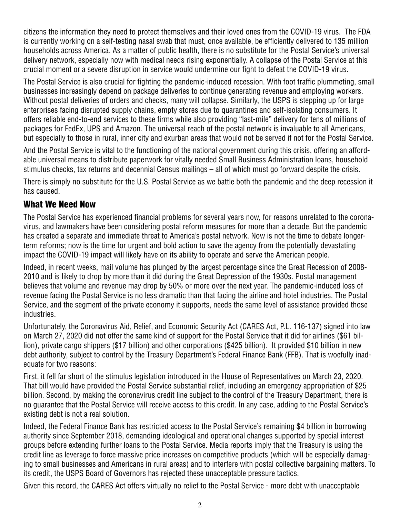citizens the information they need to protect themselves and their loved ones from the COVID-19 virus. The FDA is currently working on a self-testing nasal swab that must, once available, be efficiently delivered to 135 million households across America. As a matter of public health, there is no substitute for the Postal Service's universal delivery network, especially now with medical needs rising exponentially. A collapse of the Postal Service at this crucial moment or a severe disruption in service would undermine our fight to defeat the COVID-19 virus.

The Postal Service is also crucial for fighting the pandemic-induced recession. With foot traffic plummeting, small businesses increasingly depend on package deliveries to continue generating revenue and employing workers. Without postal deliveries of orders and checks, many will collapse. Similarly, the USPS is stepping up for large enterprises facing disrupted supply chains, empty stores due to quarantines and self-isolating consumers. It offers reliable end-to-end services to these firms while also providing "last-mile" delivery for tens of millions of packages for FedEx, UPS and Amazon. The universal reach of the postal network is invaluable to all Americans, but especially to those in rural, inner city and exurban areas that would not be served if not for the Postal Service.

And the Postal Service is vital to the functioning of the national government during this crisis, offering an affordable universal means to distribute paperwork for vitally needed Small Business Administration loans, household stimulus checks, tax returns and decennial Census mailings – all of which must go forward despite the crisis.

There is simply no substitute for the U.S. Postal Service as we battle both the pandemic and the deep recession it has caused.

## What We Need Now

The Postal Service has experienced financial problems for several years now, for reasons unrelated to the coronavirus, and lawmakers have been considering postal reform measures for more than a decade. But the pandemic has created a separate and immediate threat to America's postal network. Now is not the time to debate longerterm reforms; now is the time for urgent and bold action to save the agency from the potentially devastating impact the COVID-19 impact will likely have on its ability to operate and serve the American people.

Indeed, in recent weeks, mail volume has plunged by the largest percentage since the Great Recession of 2008- 2010 and is likely to drop by more than it did during the Great Depression of the 1930s. Postal management believes that volume and revenue may drop by 50% or more over the next year. The pandemic-induced loss of revenue facing the Postal Service is no less dramatic than that facing the airline and hotel industries. The Postal Service, and the segment of the private economy it supports, needs the same level of assistance provided those industries.

Unfortunately, the Coronavirus Aid, Relief, and Economic Security Act (CARES Act, P.L. 116-137) signed into law on March 27, 2020 did not offer the same kind of support for the Postal Service that it did for airlines (\$61 billion), private cargo shippers (\$17 billion) and other corporations (\$425 billion). It provided \$10 billion in new debt authority, subject to control by the Treasury Department's Federal Finance Bank (FFB). That is woefully inadequate for two reasons:

First, it fell far short of the stimulus legislation introduced in the House of Representatives on March 23, 2020. That bill would have provided the Postal Service substantial relief, including an emergency appropriation of \$25 billion. Second, by making the coronavirus credit line subject to the control of the Treasury Department, there is no guarantee that the Postal Service will receive access to this credit. In any case, adding to the Postal Service's existing debt is not a real solution.

Indeed, the Federal Finance Bank has restricted access to the Postal Service's remaining \$4 billion in borrowing authority since September 2018, demanding ideological and operational changes supported by special interest groups before extending further loans to the Postal Service. Media reports imply that the Treasury is using the credit line as leverage to force massive price increases on competitive products (which will be especially damaging to small businesses and Americans in rural areas) and to interfere with postal collective bargaining matters. To its credit, the USPS Board of Governors has rejected these unacceptable pressure tactics.

Given this record, the CARES Act offers virtually no relief to the Postal Service - more debt with unacceptable